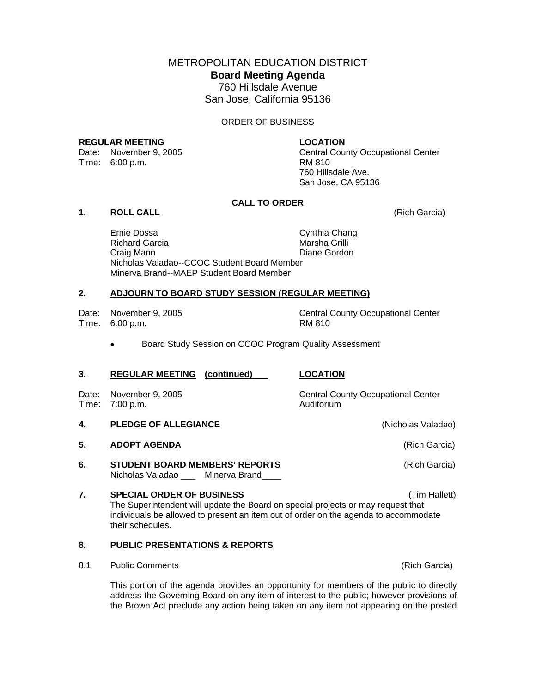METROPOLITAN EDUCATION DISTRICT **Board Meeting Agenda**  760 Hillsdale Avenue San Jose, California 95136

ORDER OF BUSINESS

#### **REGULAR MEETING LOCATION**

Time: 6:00 p.m. RM 810

Date: November 9, 2005 Central County Occupational Center 760 Hillsdale Ave. San Jose, CA 95136

# **CALL TO ORDER**

# **1. ROLL CALL** (Rich Garcia)

Ernie Dossa Cynthia Chang Richard Garcia **Marsha Grilli**  Craig Mann Diane Gordon Nicholas Valadao--CCOC Student Board Member Minerva Brand--MAEP Student Board Member

## **2. ADJOURN TO BOARD STUDY SESSION (REGULAR MEETING)**

Time: 6:00 p.m. RM 810

Date: November 9, 2005 Central County Occupational Center

• Board Study Session on CCOC Program Quality Assessment

## **3. REGULAR MEETING (continued) LOCATION**

Date: November 9, 2005 Central County Occupational Center Time: 7:00 p.m. Communication of the Auditorium

- **4. PLEDGE OF ALLEGIANCE** (Nicholas Valadao)
- **5. ADOPT AGENDA** (Rich Garcia)
- **6.** STUDENT BOARD MEMBERS' REPORTS **Example 2018** (Rich Garcia) Nicholas Valadao \_\_\_ Minerva Brand\_\_\_\_

**7. SPECIAL ORDER OF BUSINESS** (Tim Hallett) The Superintendent will update the Board on special projects or may request that individuals be allowed to present an item out of order on the agenda to accommodate their schedules.

# **8. PUBLIC PRESENTATIONS & REPORTS**

8.1 Public Comments **(Rich Garcia) Public Comments** (Rich Garcia)

This portion of the agenda provides an opportunity for members of the public to directly address the Governing Board on any item of interest to the public; however provisions of the Brown Act preclude any action being taken on any item not appearing on the posted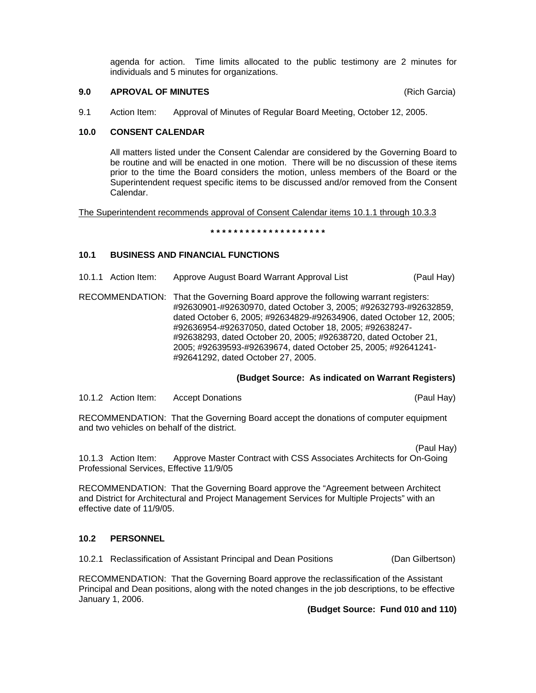agenda for action. Time limits allocated to the public testimony are 2 minutes for individuals and 5 minutes for organizations.

## **9.0 APROVAL OF MINUTES** (Rich Garcia)

9.1 Action Item: Approval of Minutes of Regular Board Meeting, October 12, 2005.

## **10.0 CONSENT CALENDAR**

All matters listed under the Consent Calendar are considered by the Governing Board to be routine and will be enacted in one motion. There will be no discussion of these items prior to the time the Board considers the motion, unless members of the Board or the Superintendent request specific items to be discussed and/or removed from the Consent Calendar.

The Superintendent recommends approval of Consent Calendar items 10.1.1 through 10.3.3

**\* \* \* \* \* \* \* \* \* \* \* \* \* \* \* \* \* \* \* \*** 

# **10.1 BUSINESS AND FINANCIAL FUNCTIONS**

- 10.1.1 Action Item: Approve August Board Warrant Approval List (Paul Hay)
- RECOMMENDATION: That the Governing Board approve the following warrant registers: #92630901-#92630970, dated October 3, 2005; #92632793-#92632859, dated October 6, 2005; #92634829-#92634906, dated October 12, 2005; #92636954-#92637050, dated October 18, 2005; #92638247- #92638293, dated October 20, 2005; #92638720, dated October 21, 2005; #92639593-#92639674, dated October 25, 2005; #92641241- #92641292, dated October 27, 2005.

## **(Budget Source: As indicated on Warrant Registers)**

10.1.2 Action Item: Accept Donations (Paul Hay)

RECOMMENDATION: That the Governing Board accept the donations of computer equipment and two vehicles on behalf of the district.

(Paul Hay)

10.1.3 Action Item: Approve Master Contract with CSS Associates Architects for On-Going Professional Services, Effective 11/9/05

RECOMMENDATION: That the Governing Board approve the "Agreement between Architect and District for Architectural and Project Management Services for Multiple Projects" with an effective date of 11/9/05.

# **10.2 PERSONNEL**

10.2.1 Reclassification of Assistant Principal and Dean Positions (Dan Gilbertson)

RECOMMENDATION: That the Governing Board approve the reclassification of the Assistant Principal and Dean positions, along with the noted changes in the job descriptions, to be effective January 1, 2006.

**(Budget Source: Fund 010 and 110)**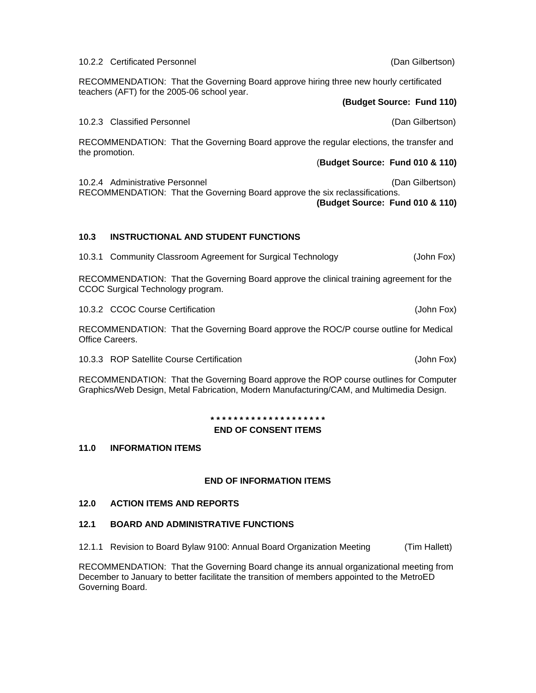10.2.3 Classified Personnel (Dan Gilbertson) RECOMMENDATION: That the Governing Board approve the regular elections, the transfer and the promotion.

RECOMMENDATION: That the Governing Board approve hiring three new hourly certificated

10.2.4 Administrative Personnel (Dan Gilbertson) RECOMMENDATION: That the Governing Board approve the six reclassifications.

**(Budget Source: Fund 010 & 110)** 

# **10.3 INSTRUCTIONAL AND STUDENT FUNCTIONS**

10.3.1 Community Classroom Agreement for Surgical Technology (John Fox)

RECOMMENDATION: That the Governing Board approve the clinical training agreement for the CCOC Surgical Technology program.

10.3.2 CCOC Course Certification (John Fox)

RECOMMENDATION: That the Governing Board approve the ROC/P course outline for Medical Office Careers.

10.3.3 ROP Satellite Course Certification (John Fox)

RECOMMENDATION: That the Governing Board approve the ROP course outlines for Computer Graphics/Web Design, Metal Fabrication, Modern Manufacturing/CAM, and Multimedia Design.

> **\* \* \* \* \* \* \* \* \* \* \* \* \* \* \* \* \* \* \* \* END OF CONSENT ITEMS**

**11.0 INFORMATION ITEMS** 

# **END OF INFORMATION ITEMS**

# **12.0 ACTION ITEMS AND REPORTS**

# **12.1 BOARD AND ADMINISTRATIVE FUNCTIONS**

12.1.1 Revision to Board Bylaw 9100: Annual Board Organization Meeting (Tim Hallett)

RECOMMENDATION: That the Governing Board change its annual organizational meeting from December to January to better facilitate the transition of members appointed to the MetroED Governing Board.

# 10.2.2 Certificated Personnel (Dan Gilbertson)

teachers (AFT) for the 2005-06 school year. **(Budget Source: Fund 110)** 

(**Budget Source: Fund 010 & 110)**